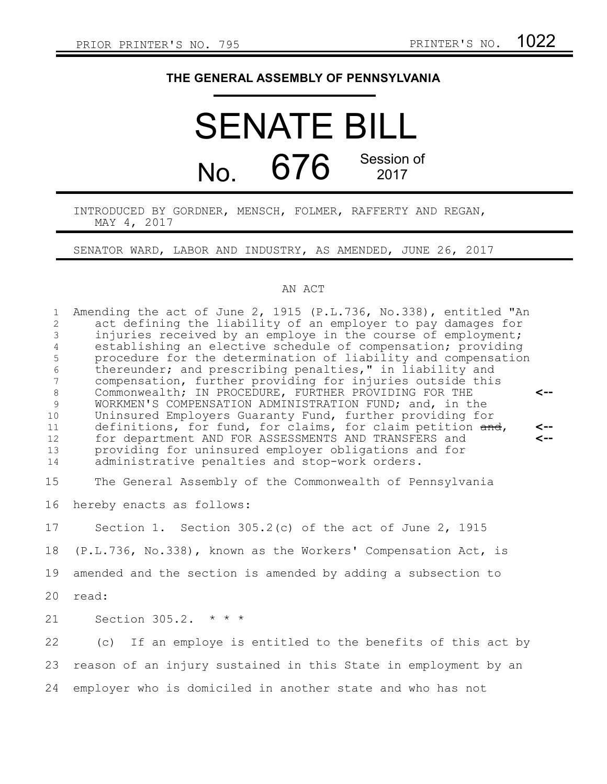## **THE GENERAL ASSEMBLY OF PENNSYLVANIA**

## SENATE BILL No.  $676$  Session of 2017

## INTRODUCED BY GORDNER, MENSCH, FOLMER, RAFFERTY AND REGAN, MAY 4, 2017

SENATOR WARD, LABOR AND INDUSTRY, AS AMENDED, JUNE 26, 2017

## AN ACT

Amending the act of June 2, 1915 (P.L.736, No.338), entitled "An act defining the liability of an employer to pay damages for injuries received by an employe in the course of employment; establishing an elective schedule of compensation; providing procedure for the determination of liability and compensation thereunder; and prescribing penalties," in liability and compensation, further providing for injuries outside this Commonwealth; IN PROCEDURE, FURTHER PROVIDING FOR THE WORKMEN'S COMPENSATION ADMINISTRATION FUND; and, in the Uninsured Employers Guaranty Fund, further providing for definitions, for fund, for claims, for claim petition and, for department AND FOR ASSESSMENTS AND TRANSFERS and providing for uninsured employer obligations and for administrative penalties and stop-work orders. The General Assembly of the Commonwealth of Pennsylvania hereby enacts as follows: Section 1. Section 305.2(c) of the act of June 2, 1915 (P.L.736, No.338), known as the Workers' Compensation Act, is amended and the section is amended by adding a subsection to read: Section 305.2. \* \* \* (c) If an employe is entitled to the benefits of this act by reason of an injury sustained in this State in employment by an employer who is domiciled in another state and who has not **<-- <-- <--** 1 2 3 4 5 6 7 8 9 10 11 12 13 14 15 16 17 18 19 20 21 22 23 24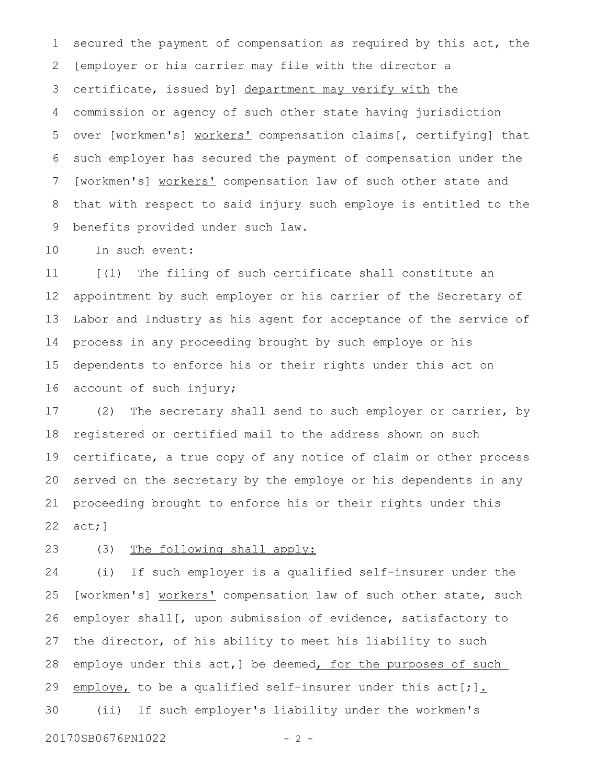secured the payment of compensation as required by this act, the [employer or his carrier may file with the director a certificate, issued by] department may verify with the commission or agency of such other state having jurisdiction over [workmen's] workers' compensation claims[, certifying] that such employer has secured the payment of compensation under the [workmen's] workers' compensation law of such other state and that with respect to said injury such employe is entitled to the benefits provided under such law. 1 2 3 4 5 6 7 8 9

In such event: 10

[(1) The filing of such certificate shall constitute an appointment by such employer or his carrier of the Secretary of Labor and Industry as his agent for acceptance of the service of process in any proceeding brought by such employe or his dependents to enforce his or their rights under this act on account of such injury; 11 12 13 14 15 16

(2) The secretary shall send to such employer or carrier, by registered or certified mail to the address shown on such certificate, a true copy of any notice of claim or other process served on the secretary by the employe or his dependents in any proceeding brought to enforce his or their rights under this act;] 17 18 19 20 21 22

(3) The following shall apply: 23

(i) If such employer is a qualified self-insurer under the [workmen's] workers' compensation law of such other state, such employer shall[, upon submission of evidence, satisfactory to the director, of his ability to meet his liability to such employe under this act, ] be deemed, for the purposes of such employe, to be a qualified self-insurer under this  $act[j]$ . (ii) If such employer's liability under the workmen's 24 25 26 27 28 29 30

20170SB0676PN1022 - 2 -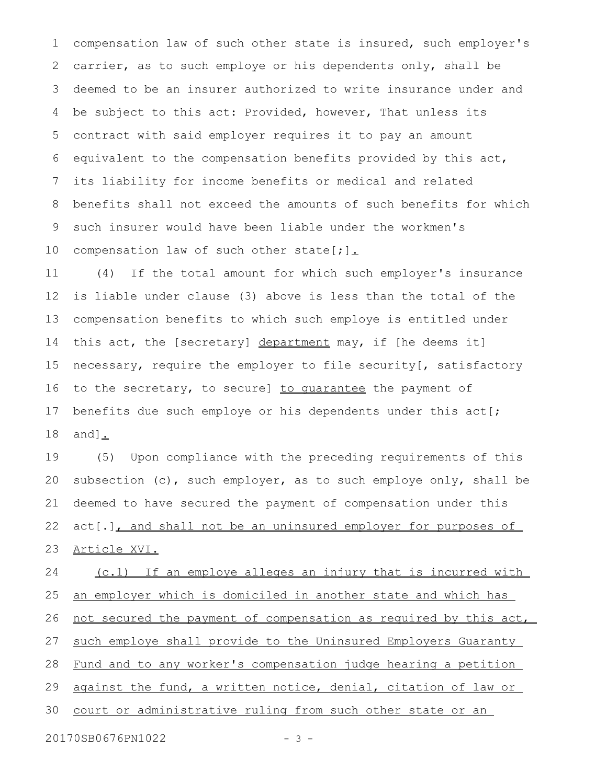compensation law of such other state is insured, such employer's carrier, as to such employe or his dependents only, shall be deemed to be an insurer authorized to write insurance under and be subject to this act: Provided, however, That unless its contract with said employer requires it to pay an amount equivalent to the compensation benefits provided by this act, its liability for income benefits or medical and related benefits shall not exceed the amounts of such benefits for which such insurer would have been liable under the workmen's compensation law of such other state[;]. 1 2 3 4 5 6 7 8 9 10

(4) If the total amount for which such employer's insurance is liable under clause (3) above is less than the total of the compensation benefits to which such employe is entitled under this act, the [secretary] department may, if [he deems it] necessary, require the employer to file security[, satisfactory to the secretary, to secure] to quarantee the payment of benefits due such employe or his dependents under this act[; and]. 11 12 13 14 15 16 17 18

(5) Upon compliance with the preceding requirements of this subsection (c), such employer, as to such employe only, shall be deemed to have secured the payment of compensation under this act[.], and shall not be an uninsured employer for purposes of Article XVI. 19 20 21 22 23

(c.1) If an employe alleges an injury that is incurred with an employer which is domiciled in another state and which has not secured the payment of compensation as required by this act, such employe shall provide to the Uninsured Employers Guaranty Fund and to any worker's compensation judge hearing a petition against the fund, a written notice, denial, citation of law or court or administrative ruling from such other state or an 24 25 26 27 28 29 30

20170SB0676PN1022 - 3 -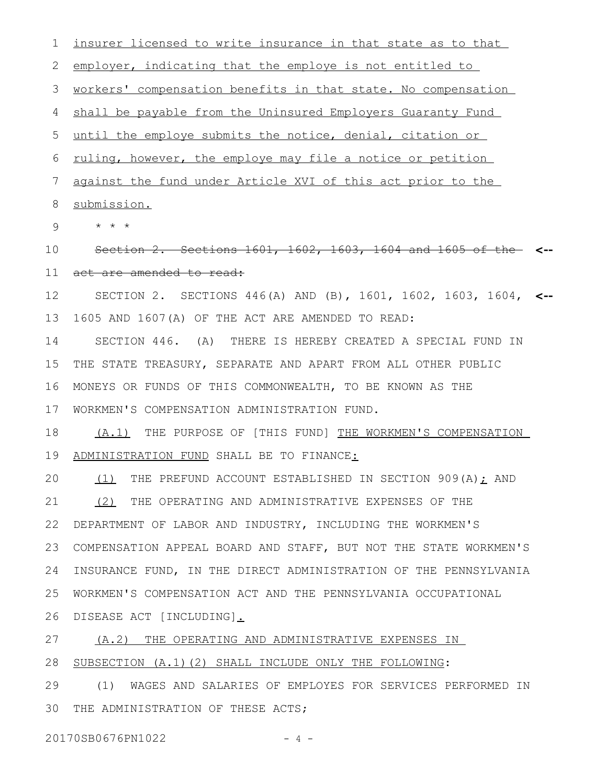insurer licensed to write insurance in that state as to that employer, indicating that the employe is not entitled to workers' compensation benefits in that state. No compensation shall be payable from the Uninsured Employers Guaranty Fund until the employe submits the notice, denial, citation or ruling, however, the employe may file a notice or petition against the fund under Article XVI of this act prior to the submission. \* \* \* Section 2. Sections 1601, 1602, 1603, 1604 and 1605 of the **<-** act are amended to read: SECTION 2. SECTIONS 446(A) AND (B), 1601, 1602, 1603, 1604, **<--** 1605 AND 1607(A) OF THE ACT ARE AMENDED TO READ: SECTION 446. (A) THERE IS HEREBY CREATED A SPECIAL FUND IN THE STATE TREASURY, SEPARATE AND APART FROM ALL OTHER PUBLIC MONEYS OR FUNDS OF THIS COMMONWEALTH, TO BE KNOWN AS THE WORKMEN'S COMPENSATION ADMINISTRATION FUND. (A.1) THE PURPOSE OF [THIS FUND] THE WORKMEN'S COMPENSATION ADMINISTRATION FUND SHALL BE TO FINANCE: (1) THE PREFUND ACCOUNT ESTABLISHED IN SECTION 909(A); AND (2) THE OPERATING AND ADMINISTRATIVE EXPENSES OF THE DEPARTMENT OF LABOR AND INDUSTRY, INCLUDING THE WORKMEN'S COMPENSATION APPEAL BOARD AND STAFF, BUT NOT THE STATE WORKMEN'S INSURANCE FUND, IN THE DIRECT ADMINISTRATION OF THE PENNSYLVANIA WORKMEN'S COMPENSATION ACT AND THE PENNSYLVANIA OCCUPATIONAL DISEASE ACT [INCLUDING]. (A.2) THE OPERATING AND ADMINISTRATIVE EXPENSES IN SUBSECTION (A.1)(2) SHALL INCLUDE ONLY THE FOLLOWING: 1 2 3 4 5 6 7 8 9 10 11 12 13 14 15 16 17 18 19 20 21 22 23 24 25 26 27 28

(1) WAGES AND SALARIES OF EMPLOYES FOR SERVICES PERFORMED IN THE ADMINISTRATION OF THESE ACTS; 29 30

20170SB0676PN1022 - 4 -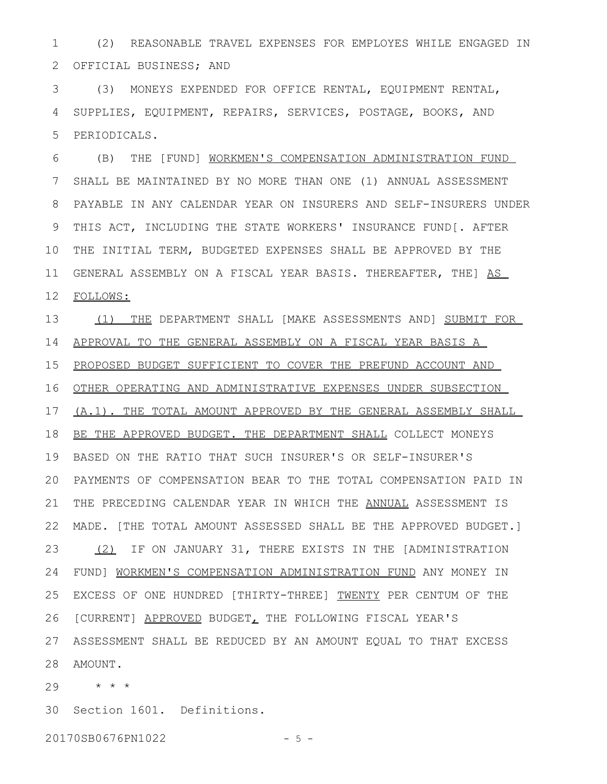(2) REASONABLE TRAVEL EXPENSES FOR EMPLOYES WHILE ENGAGED IN OFFICIAL BUSINESS; AND 1 2

(3) MONEYS EXPENDED FOR OFFICE RENTAL, EQUIPMENT RENTAL, SUPPLIES, EQUIPMENT, REPAIRS, SERVICES, POSTAGE, BOOKS, AND PERIODICALS. 3 4 5

(B) THE [FUND] WORKMEN'S COMPENSATION ADMINISTRATION FUND SHALL BE MAINTAINED BY NO MORE THAN ONE (1) ANNUAL ASSESSMENT PAYABLE IN ANY CALENDAR YEAR ON INSURERS AND SELF-INSURERS UNDER THIS ACT, INCLUDING THE STATE WORKERS' INSURANCE FUND[. AFTER THE INITIAL TERM, BUDGETED EXPENSES SHALL BE APPROVED BY THE GENERAL ASSEMBLY ON A FISCAL YEAR BASIS. THEREAFTER, THE] AS FOLLOWS: 6 7 8 9 10 11 12

(1) THE DEPARTMENT SHALL [MAKE ASSESSMENTS AND] SUBMIT FOR APPROVAL TO THE GENERAL ASSEMBLY ON A FISCAL YEAR BASIS A PROPOSED BUDGET SUFFICIENT TO COVER THE PREFUND ACCOUNT AND OTHER OPERATING AND ADMINISTRATIVE EXPENSES UNDER SUBSECTION (A.1). THE TOTAL AMOUNT APPROVED BY THE GENERAL ASSEMBLY SHALL 18 BE THE APPROVED BUDGET. THE DEPARTMENT SHALL COLLECT MONEYS BASED ON THE RATIO THAT SUCH INSURER'S OR SELF-INSURER'S 19 PAYMENTS OF COMPENSATION BEAR TO THE TOTAL COMPENSATION PAID IN 20 THE PRECEDING CALENDAR YEAR IN WHICH THE ANNUAL ASSESSMENT IS MADE. [THE TOTAL AMOUNT ASSESSED SHALL BE THE APPROVED BUDGET.] (2) IF ON JANUARY 31, THERE EXISTS IN THE [ADMINISTRATION FUND] WORKMEN'S COMPENSATION ADMINISTRATION FUND ANY MONEY IN EXCESS OF ONE HUNDRED [THIRTY-THREE] TWENTY PER CENTUM OF THE [CURRENT] APPROVED BUDGET, THE FOLLOWING FISCAL YEAR'S ASSESSMENT SHALL BE REDUCED BY AN AMOUNT EQUAL TO THAT EXCESS 27 28 AMOUNT. 13 14 15 16 17 21 22 23 24 25 26

\* \* \* 29

30 Section 1601. Definitions.

20170SB0676PN1022 - 5 -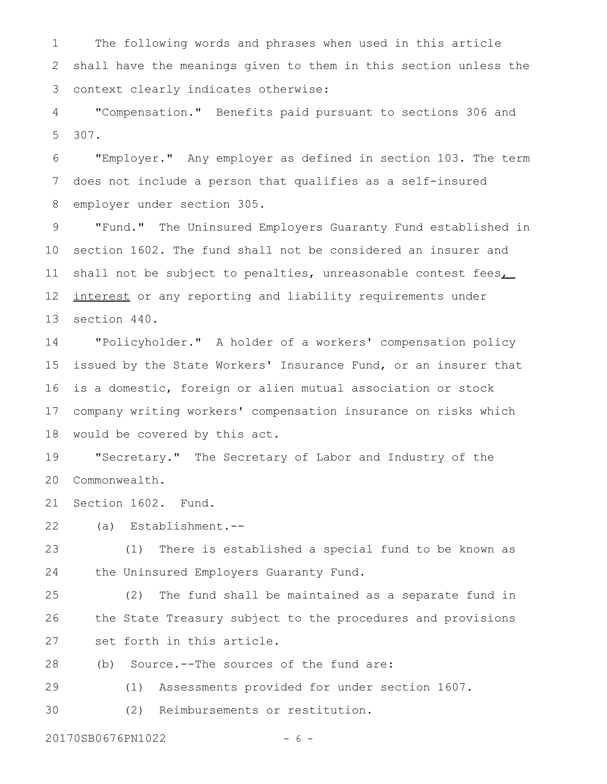The following words and phrases when used in this article shall have the meanings given to them in this section unless the context clearly indicates otherwise: 1 2 3

"Compensation." Benefits paid pursuant to sections 306 and 307. 4 5

"Employer." Any employer as defined in section 103. The term does not include a person that qualifies as a self-insured employer under section 305. 6 7 8

"Fund." The Uninsured Employers Guaranty Fund established in section 1602. The fund shall not be considered an insurer and shall not be subject to penalties, unreasonable contest fees interest or any reporting and liability requirements under section 440. 9 10 11 12 13

"Policyholder." A holder of a workers' compensation policy issued by the State Workers' Insurance Fund, or an insurer that is a domestic, foreign or alien mutual association or stock company writing workers' compensation insurance on risks which would be covered by this act. 14 15 16 17 18

"Secretary." The Secretary of Labor and Industry of the Commonwealth. 19 20

Section 1602. Fund. 21

(a) Establishment.-- 22

(1) There is established a special fund to be known as the Uninsured Employers Guaranty Fund. 23 24

(2) The fund shall be maintained as a separate fund in the State Treasury subject to the procedures and provisions set forth in this article. 25 26 27

(b) Source.--The sources of the fund are: 28

(1) Assessments provided for under section 1607. 29

(2) Reimbursements or restitution. 30

20170SB0676PN1022 - 6 -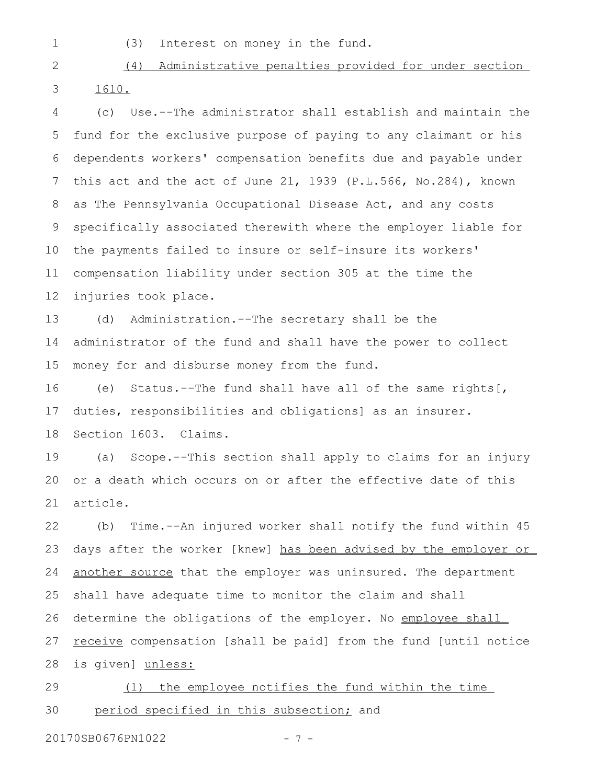1

(3) Interest on money in the fund.

(4) Administrative penalties provided for under section 1610. 2 3

(c) Use.--The administrator shall establish and maintain the fund for the exclusive purpose of paying to any claimant or his dependents workers' compensation benefits due and payable under this act and the act of June 21, 1939 (P.L.566, No.284), known as The Pennsylvania Occupational Disease Act, and any costs specifically associated therewith where the employer liable for the payments failed to insure or self-insure its workers' compensation liability under section 305 at the time the injuries took place. 4 5 6 7 8 9 10 11 12

(d) Administration.--The secretary shall be the administrator of the fund and shall have the power to collect money for and disburse money from the fund. 13 14 15

(e) Status.--The fund shall have all of the same rights[, duties, responsibilities and obligations] as an insurer. Section 1603. Claims. 16 17 18

(a) Scope.--This section shall apply to claims for an injury or a death which occurs on or after the effective date of this article. 19 20 21

(b) Time.--An injured worker shall notify the fund within 45 days after the worker [knew] has been advised by the employer or another source that the employer was uninsured. The department shall have adequate time to monitor the claim and shall determine the obligations of the employer. No employee shall receive compensation [shall be paid] from the fund [until notice is given] unless: 22 23 24 25 26 27 28

(1) the employee notifies the fund within the time period specified in this subsection; and 29 30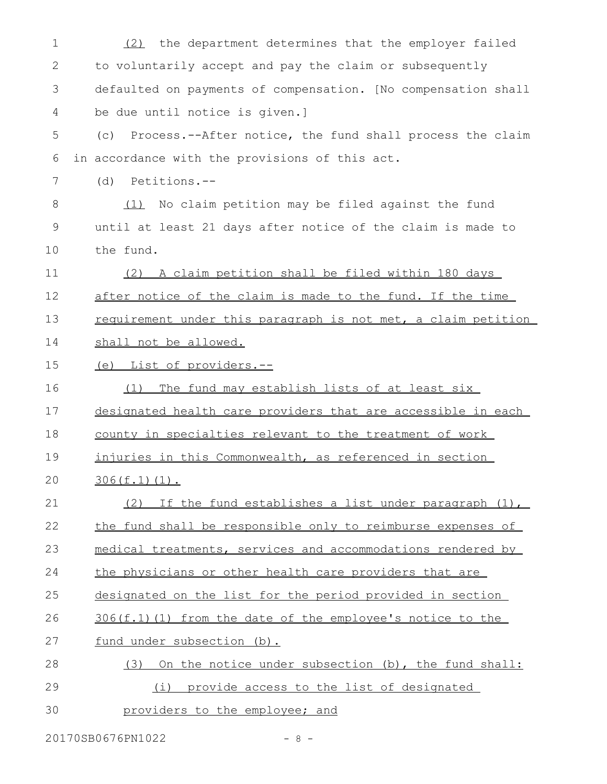| 1            | (2) the department determines that the employer failed          |
|--------------|-----------------------------------------------------------------|
| $\mathbf{2}$ | to voluntarily accept and pay the claim or subsequently         |
| 3            | defaulted on payments of compensation. [No compensation shall   |
| 4            | be due until notice is given.]                                  |
| 5            | Process.--After notice, the fund shall process the claim<br>(C) |
| 6            | in accordance with the provisions of this act.                  |
| 7            | Petitions.--<br>(d)                                             |
| 8            | (1) No claim petition may be filed against the fund             |
| 9            | until at least 21 days after notice of the claim is made to     |
| 10           | the fund.                                                       |
| 11           | (2) A claim petition shall be filed within 180 days             |
| 12           | after notice of the claim is made to the fund. If the time      |
| 13           | requirement under this paragraph is not met, a claim petition   |
| 14           | shall not be allowed.                                           |
| 15           | (e) List of providers.--                                        |
| 16           | The fund may establish lists of at least six<br>(1)             |
| 17           | designated health care providers that are accessible in each    |
| 18           | county in specialties relevant to the treatment of work         |
| 19           | injuries in this Commonwealth, as referenced in section         |
| 20           | $306(f.1)(1)$ .                                                 |
| 21           | If the fund establishes a list under paragraph (1),<br>(2)      |
| 22           | the fund shall be responsible only to reimburse expenses of     |
| 23           | medical treatments, services and accommodations rendered by     |
| 24           | the physicians or other health care providers that are          |
| 25           | designated on the list for the period provided in section       |
| 26           | 306(f.1)(1) from the date of the employee's notice to the       |
| 27           | fund under subsection (b).                                      |
| 28           | On the notice under subsection (b), the fund shall:<br>(3)      |
| 29           | provide access to the list of designated<br>(i)                 |
| 30           | providers to the employee; and                                  |

20170SB0676PN1022 - 8 -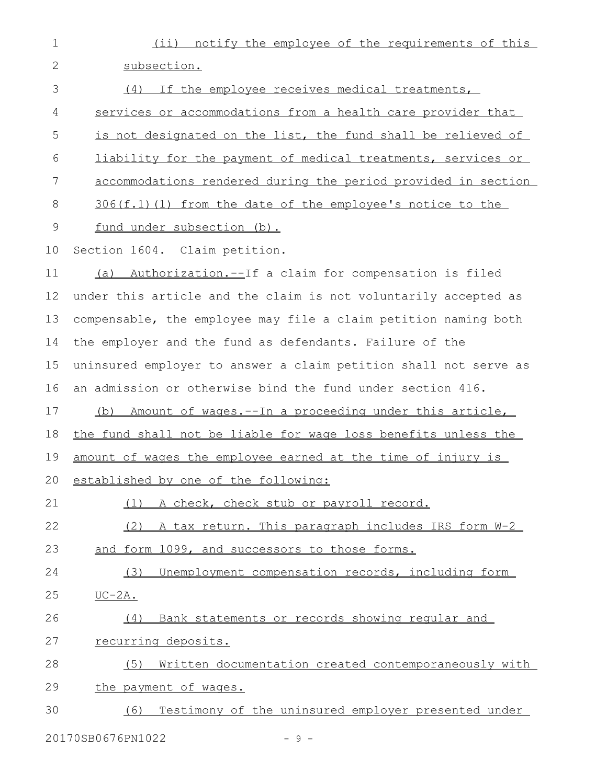| $\mathbf 1$  | (ii) notify the employee of the requirements of this             |
|--------------|------------------------------------------------------------------|
| $\mathbf{2}$ | subsection.                                                      |
| 3            | (4) If the employee receives medical treatments,                 |
| 4            | services or accommodations from a health care provider that      |
| 5            | is not designated on the list, the fund shall be relieved of     |
| 6            | liability for the payment of medical treatments, services or     |
| 7            | accommodations rendered during the period provided in section    |
| 8            | 306(f.1)(1) from the date of the employee's notice to the        |
| $\mathsf 9$  | fund under subsection (b).                                       |
| 10           | Section 1604. Claim petition.                                    |
| 11           | Authorization.--If a claim for compensation is filed<br>(a)      |
| 12           | under this article and the claim is not voluntarily accepted as  |
| 13           | compensable, the employee may file a claim petition naming both  |
| 14           | the employer and the fund as defendants. Failure of the          |
| 15           | uninsured employer to answer a claim petition shall not serve as |
| 16           | an admission or otherwise bind the fund under section 416.       |
| 17           | (b) Amount of wages.--In a proceeding under this article,        |
| 18           | the fund shall not be liable for wage loss benefits unless the   |
| 19           | amount of wages the employee earned at the time of injury is     |
| 20           | established by one of the following:                             |
| 21           | A check, check stub or payroll record.<br>(1)                    |
| 22           | (2) A tax return. This paragraph includes IRS form W-2           |
| 23           | and form 1099, and successors to those forms.                    |
| 24           | Unemployment compensation records, including form<br>(3)         |
| 25           | $UC-2A.$                                                         |
| 26           | Bank statements or records showing regular and<br>(4)            |
| 27           | recurring deposits.                                              |
| 28           | Written documentation created contemporaneously with<br>(5)      |
| 29           | the payment of wages.                                            |
| 30           | Testimony of the uninsured employer presented under<br>(6)       |

20170SB0676PN1022 - 9 -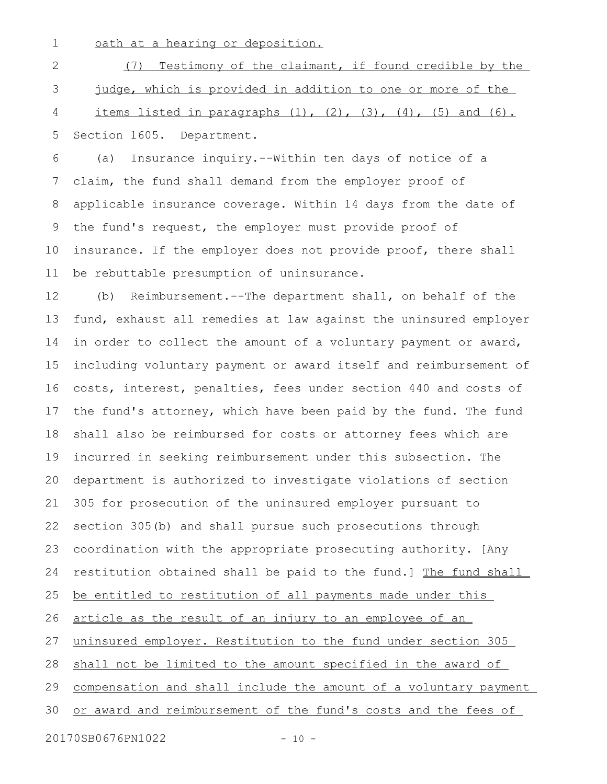oath at a hearing or deposition. 1

(7) Testimony of the claimant, if found credible by the judge, which is provided in addition to one or more of the items listed in paragraphs  $(1)$ ,  $(2)$ ,  $(3)$ ,  $(4)$ ,  $(5)$  and  $(6)$ . Section 1605. Department. 2 3 4 5

(a) Insurance inquiry.--Within ten days of notice of a claim, the fund shall demand from the employer proof of applicable insurance coverage. Within 14 days from the date of the fund's request, the employer must provide proof of insurance. If the employer does not provide proof, there shall be rebuttable presumption of uninsurance. 6 7 8 9 10 11

(b) Reimbursement.--The department shall, on behalf of the fund, exhaust all remedies at law against the uninsured employer in order to collect the amount of a voluntary payment or award, including voluntary payment or award itself and reimbursement of costs, interest, penalties, fees under section 440 and costs of the fund's attorney, which have been paid by the fund. The fund shall also be reimbursed for costs or attorney fees which are incurred in seeking reimbursement under this subsection. The department is authorized to investigate violations of section 305 for prosecution of the uninsured employer pursuant to section 305(b) and shall pursue such prosecutions through coordination with the appropriate prosecuting authority. [Any restitution obtained shall be paid to the fund.] The fund shall be entitled to restitution of all payments made under this article as the result of an injury to an employee of an uninsured employer. Restitution to the fund under section 305 shall not be limited to the amount specified in the award of compensation and shall include the amount of a voluntary payment or award and reimbursement of the fund's costs and the fees of 12 13 14 15 16 17 18 19 20 21 22 23 24 25 26 27 28 29 30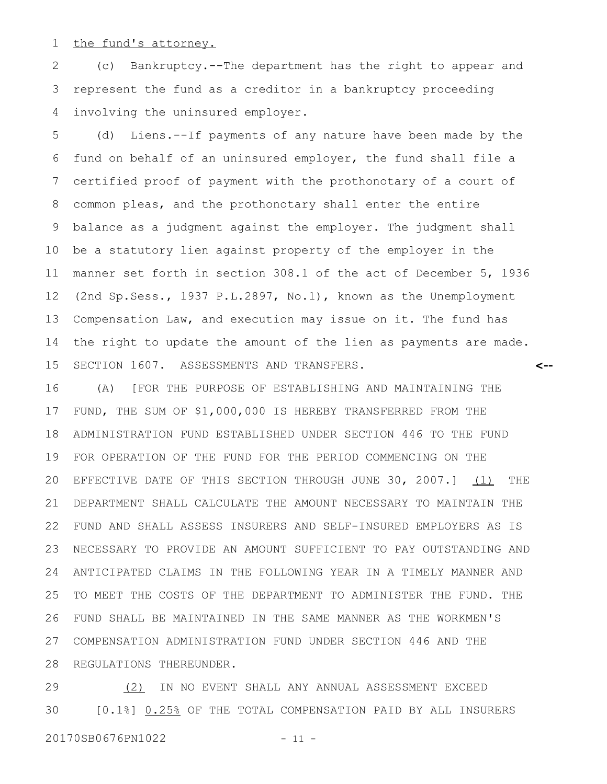the fund's attorney. 1

(c) Bankruptcy.--The department has the right to appear and represent the fund as a creditor in a bankruptcy proceeding involving the uninsured employer. 2 3 4

(d) Liens.--If payments of any nature have been made by the fund on behalf of an uninsured employer, the fund shall file a certified proof of payment with the prothonotary of a court of common pleas, and the prothonotary shall enter the entire balance as a judgment against the employer. The judgment shall be a statutory lien against property of the employer in the manner set forth in section 308.1 of the act of December 5, 1936 (2nd Sp.Sess., 1937 P.L.2897, No.1), known as the Unemployment Compensation Law, and execution may issue on it. The fund has the right to update the amount of the lien as payments are made. SECTION 1607. ASSESSMENTS AND TRANSFERS. 5 6 7 8 9 10 11 12 13 14 15

**<--**

(A) [FOR THE PURPOSE OF ESTABLISHING AND MAINTAINING THE FUND, THE SUM OF \$1,000,000 IS HEREBY TRANSFERRED FROM THE ADMINISTRATION FUND ESTABLISHED UNDER SECTION 446 TO THE FUND FOR OPERATION OF THE FUND FOR THE PERIOD COMMENCING ON THE EFFECTIVE DATE OF THIS SECTION THROUGH JUNE 30, 2007.] (1) THE DEPARTMENT SHALL CALCULATE THE AMOUNT NECESSARY TO MAINTAIN THE FUND AND SHALL ASSESS INSURERS AND SELF-INSURED EMPLOYERS AS IS NECESSARY TO PROVIDE AN AMOUNT SUFFICIENT TO PAY OUTSTANDING AND ANTICIPATED CLAIMS IN THE FOLLOWING YEAR IN A TIMELY MANNER AND TO MEET THE COSTS OF THE DEPARTMENT TO ADMINISTER THE FUND. THE FUND SHALL BE MAINTAINED IN THE SAME MANNER AS THE WORKMEN'S COMPENSATION ADMINISTRATION FUND UNDER SECTION 446 AND THE REGULATIONS THEREUNDER. 16 17 18 19 20 21 22 23 24 25 26 27 28

(2) IN NO EVENT SHALL ANY ANNUAL ASSESSMENT EXCEED [0.1%] 0.25% OF THE TOTAL COMPENSATION PAID BY ALL INSURERS 20170SB0676PN1022 - 11 -29 30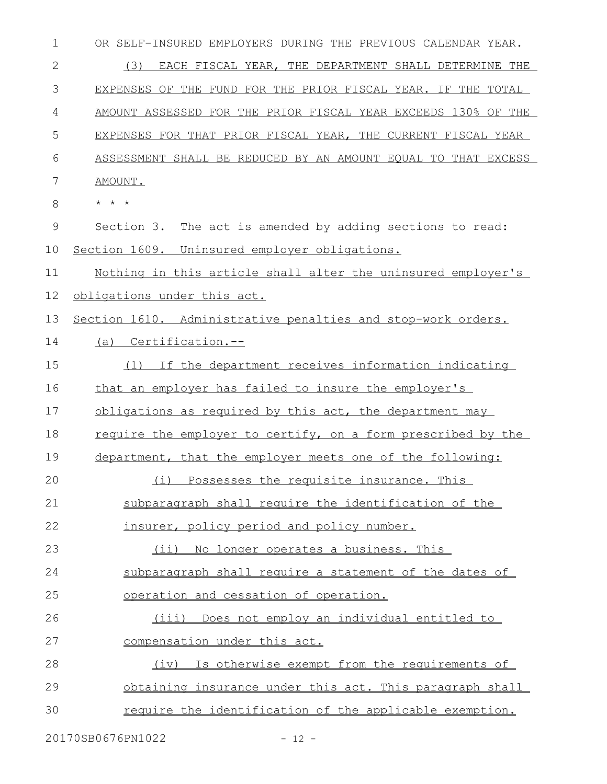| 1             | OR SELF-INSURED EMPLOYERS DURING THE PREVIOUS CALENDAR YEAR.  |
|---------------|---------------------------------------------------------------|
| 2             | (3)<br>EACH FISCAL YEAR, THE DEPARTMENT SHALL DETERMINE THE   |
| 3             | EXPENSES OF THE FUND FOR THE PRIOR FISCAL YEAR. IF THE TOTAL  |
| 4             | AMOUNT ASSESSED FOR THE PRIOR FISCAL YEAR EXCEEDS 130% OF THE |
| 5             | EXPENSES FOR THAT PRIOR FISCAL YEAR, THE CURRENT FISCAL YEAR  |
| 6             | ASSESSMENT SHALL BE REDUCED BY AN AMOUNT EQUAL TO THAT EXCESS |
| 7             | AMOUNT.                                                       |
| 8             | $\star$ $\star$ $\star$                                       |
| $\mathcal{G}$ | Section 3. The act is amended by adding sections to read:     |
| 10            | Section 1609. Uninsured employer obligations.                 |
| 11            | Nothing in this article shall alter the uninsured employer's  |
| 12            | obligations under this act.                                   |
| 13            | Section 1610. Administrative penalties and stop-work orders.  |
| 14            | (a) Certification.--                                          |
| 15            | (1) If the department receives information indicating         |
| 16            | that an employer has failed to insure the employer's          |
| 17            | obligations as required by this act, the department may       |
| 18            | require the employer to certify, on a form prescribed by the  |
| 19            | department, that the employer meets one of the following:     |
| 20            | (i) Possesses the requisite insurance. This                   |
| 21            | subparagraph shall require the identification of the          |
| 22            | insurer, policy period and policy number.                     |
| 23            | (ii) No longer operates a business. This                      |
| 24            | subparagraph shall require a statement of the dates of        |
| 25            | operation and cessation of operation.                         |
| 26            | (iii) Does not employ an individual entitled to               |
| 27            | compensation under this act.                                  |
| 28            | (iv) Is otherwise exempt from the requirements of             |
| 29            | obtaining insurance under this act. This paragraph shall      |
| 30            | require the identification of the applicable exemption.       |
|               |                                                               |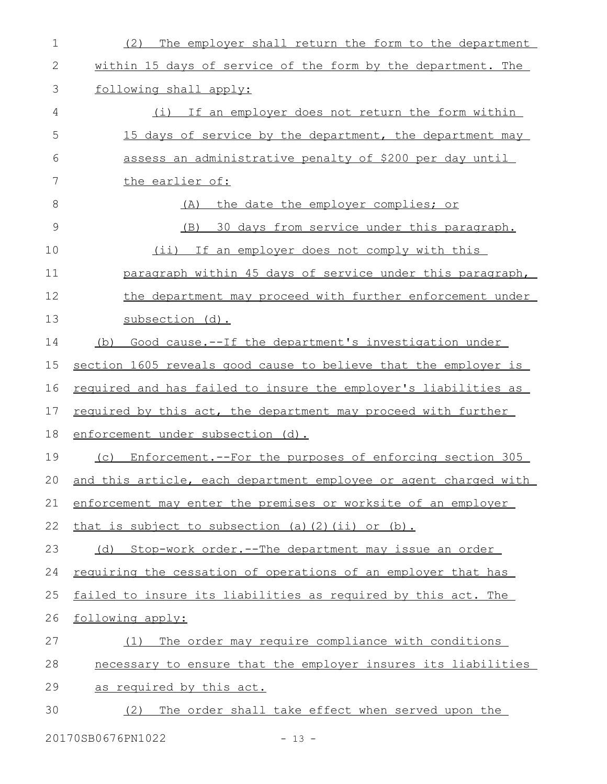| The employer shall return the form to the department<br>(2)      |
|------------------------------------------------------------------|
| within 15 days of service of the form by the department. The     |
| following shall apply:                                           |
| (i) If an employer does not return the form within               |
| 15 days of service by the department, the department may         |
| assess an administrative penalty of \$200 per day until          |
| the earlier of:                                                  |
| the date the employer complies; or<br>(A)                        |
| (B) 30 days from service under this paragraph.                   |
| (ii) If an employer does not comply with this                    |
| paragraph within 45 days of service under this paragraph,        |
| the department may proceed with further enforcement under        |
| subsection (d).                                                  |
| Good cause.--If the department's investigation under<br>(b)      |
| section 1605 reveals good cause to believe that the employer is  |
| required and has failed to insure the employer's liabilities as  |
| required by this act, the department may proceed with further    |
| enforcement under subsection (d).                                |
| Enforcement.--For the purposes of enforcing section 305<br>(C)   |
| and this article, each department employee or agent charged with |
| enforcement may enter the premises or worksite of an employer    |
| that is subject to subsection (a) (2) (ii) or (b).               |
| Stop-work order.--The department may issue an order<br>(d)       |
| requiring the cessation of operations of an employer that has    |
| failed to insure its liabilities as required by this act. The    |
| following apply:                                                 |
| The order may require compliance with conditions<br>(1)          |
| necessary to ensure that the employer insures its liabilities    |
| as required by this act.                                         |
| The order shall take effect when served upon the<br>(2)          |
|                                                                  |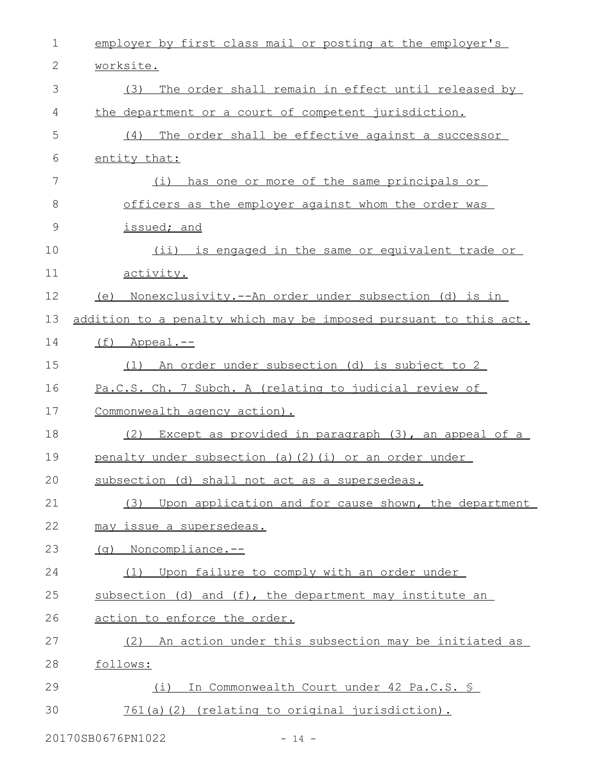| 1  | employer by first class mail or posting at the employer's        |
|----|------------------------------------------------------------------|
| 2  | worksite.                                                        |
| 3  | (3)<br>The order shall remain in effect until released by        |
| 4  | the department or a court of competent jurisdiction.             |
| 5  | (4) The order shall be effective against a successor             |
| 6  | entity that:                                                     |
| 7  | has one or more of the same principals or<br>(i)                 |
| 8  | officers as the employer against whom the order was              |
| 9  | issued; and                                                      |
| 10 | (ii) is engaged in the same or equivalent trade or               |
| 11 | activity.                                                        |
| 12 | (e) Nonexclusivity.--An order under subsection (d) is in         |
| 13 | addition to a penalty which may be imposed pursuant to this act. |
| 14 | $(f)$ Appeal.--                                                  |
| 15 | (1) An order under subsection (d) is subject to 2                |
| 16 | Pa.C.S. Ch. 7 Subch. A (relating to judicial review of           |
| 17 | Commonwealth agency action).                                     |
| 18 | Except as provided in paragraph (3), an appeal of a<br>(2)       |
| 19 | penalty under subsection (a) (2) (i) or an order under           |
| 20 | subsection (d) shall not act as a supersedeas.                   |
| 21 | (3) Upon application and for cause shown, the department         |
| 22 | may issue a supersedeas.                                         |
| 23 | (g) Noncompliance.--                                             |
| 24 | (1) Upon failure to comply with an order under                   |
| 25 | subsection (d) and (f), the department may institute an          |
| 26 | action to enforce the order.                                     |
| 27 | (2) An action under this subsection may be initiated as          |
| 28 | follows:                                                         |
| 29 | In Commonwealth Court under 42 Pa.C.S. §<br>(i)                  |
| 30 | 761(a)(2) (relating to original jurisdiction).                   |
|    |                                                                  |

20170SB0676PN1022 - 14 -